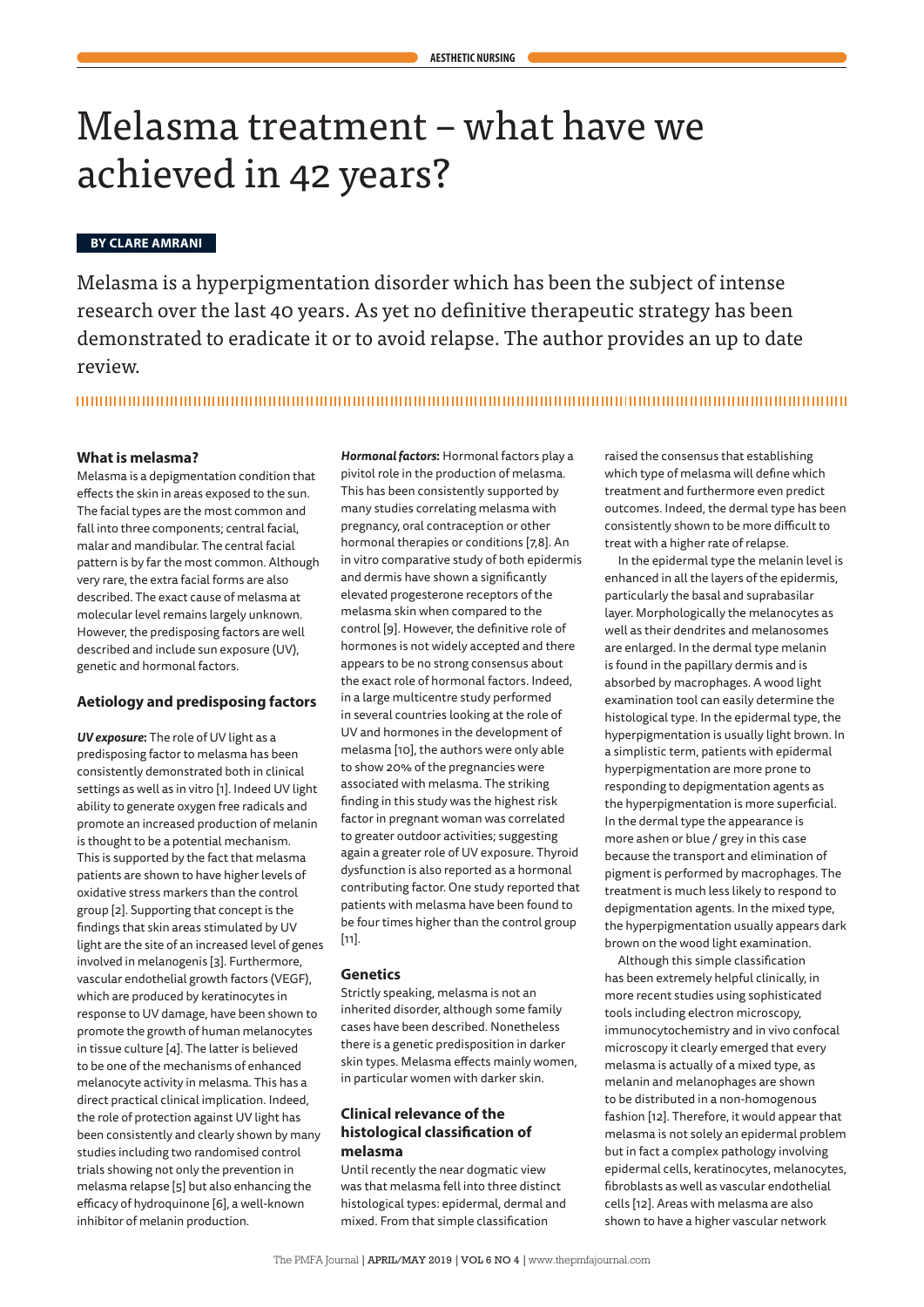# Melasma treatment – what have we achieved in 42 years?

## **BY CLARE AMRANI**

Melasma is a hyperpigmentation disorder which has been the subject of intense research over the last 40 years. As yet no definitive therapeutic strategy has been demonstrated to eradicate it or to avoid relapse. The author provides an up to date review.

# 

## **What is melasma?**

Melasma is a depigmentation condition that effects the skin in areas exposed to the sun. The facial types are the most common and fall into three components; central facial malar and mandibular. The central facial pattern is by far the most common. Although very rare, the extra facial forms are also described. The exact cause of melasma at molecular level remains largely unknown. However, the predisposing factors are well described and include sun exposure (UV), genetic and hormonal factors.

#### **Aetiology and predisposing factors**

*UV exposure***:** The role of UV light as a predisposing factor to melasma has been consistently demonstrated both in clinical settings as well as in vitro [1]. Indeed UV light ability to generate oxygen free radicals and promote an increased production of melanin is thought to be a potential mechanism. This is supported by the fact that melasma patients are shown to have higher levels of oxidative stress markers than the control group [2]. Supporting that concept is the findings that skin areas stimulated by UV light are the site of an increased level of genes involved in melanogenis [3]. Furthermore, vascular endothelial growth factors (VEGF), which are produced by keratinocytes in response to UV damage, have been shown to promote the growth of human melanocytes in tissue culture [4]. The latter is believed to be one of the mechanisms of enhanced melanocyte activity in melasma. This has a direct practical clinical implication. Indeed, the role of protection against UV light has been consistently and clearly shown by many studies including two randomised control trials showing not only the prevention in melasma relapse [5] but also enhancing the efficacy of hydroquinone [6], a well-known inhibitor of melanin production.

*Hormonal factors***:** Hormonal factors play a pivitol role in the production of melasma. This has been consistently supported by many studies correlating melasma with pregnancy, oral contraception or other hormonal therapies or conditions [7,8]. An in vitro comparative study of both epidermis and dermis have shown a significantly elevated progesterone receptors of the melasma skin when compared to the control [9]. However, the definitive role of hormones is not widely accepted and there appears to be no strong consensus about the exact role of hormonal factors. Indeed, in a large multicentre study performed in several countries looking at the role of UV and hormones in the development of melasma [10], the authors were only able to show 20% of the pregnancies were associated with melasma. The striking finding in this study was the highest risk factor in pregnant woman was correlated to greater outdoor activities; suggesting again a greater role of UV exposure. Thyroid dysfunction is also reported as a hormonal contributing factor. One study reported that patients with melasma have been found to be four times higher than the control group [11].

## **Genetics**

Strictly speaking, melasma is not an inherited disorder, although some family cases have been described. Nonetheless there is a genetic predisposition in darker skin types. Melasma effects mainly women, in particular women with darker skin.

# **Clinical relevance of the histological classification of melasma**

Until recently the near dogmatic view was that melasma fell into three distinct histological types: epidermal, dermal and mixed. From that simple classification

raised the consensus that establishing which type of melasma will define which treatment and furthermore even predict outcomes. Indeed, the dermal type has been consistently shown to be more difficult to treat with a higher rate of relapse.

In the epidermal type the melanin level is enhanced in all the layers of the epidermis, particularly the basal and suprabasilar layer. Morphologically the melanocytes as well as their dendrites and melanosomes are enlarged. In the dermal type melanin is found in the papillary dermis and is absorbed by macrophages. A wood light examination tool can easily determine the histological type. In the epidermal type, the hyperpigmentation is usually light brown. In a simplistic term, patients with epidermal hyperpigmentation are more prone to responding to depigmentation agents as the hyperpigmentation is more superficial. In the dermal type the appearance is more ashen or blue / grey in this case because the transport and elimination of pigment is performed by macrophages. The treatment is much less likely to respond to depigmentation agents. In the mixed type, the hyperpigmentation usually appears dark brown on the wood light examination.

Although this simple classification has been extremely helpful clinically, in more recent studies using sophisticated tools including electron microscopy, immunocytochemistry and in vivo confocal microscopy it clearly emerged that every melasma is actually of a mixed type, as melanin and melanophages are shown to be distributed in a non-homogenous fashion [12]. Therefore, it would appear that melasma is not solely an epidermal problem but in fact a complex pathology involving epidermal cells, keratinocytes, melanocytes, fibroblasts as well as vascular endothelial cells [12]. Areas with melasma are also shown to have a higher vascular network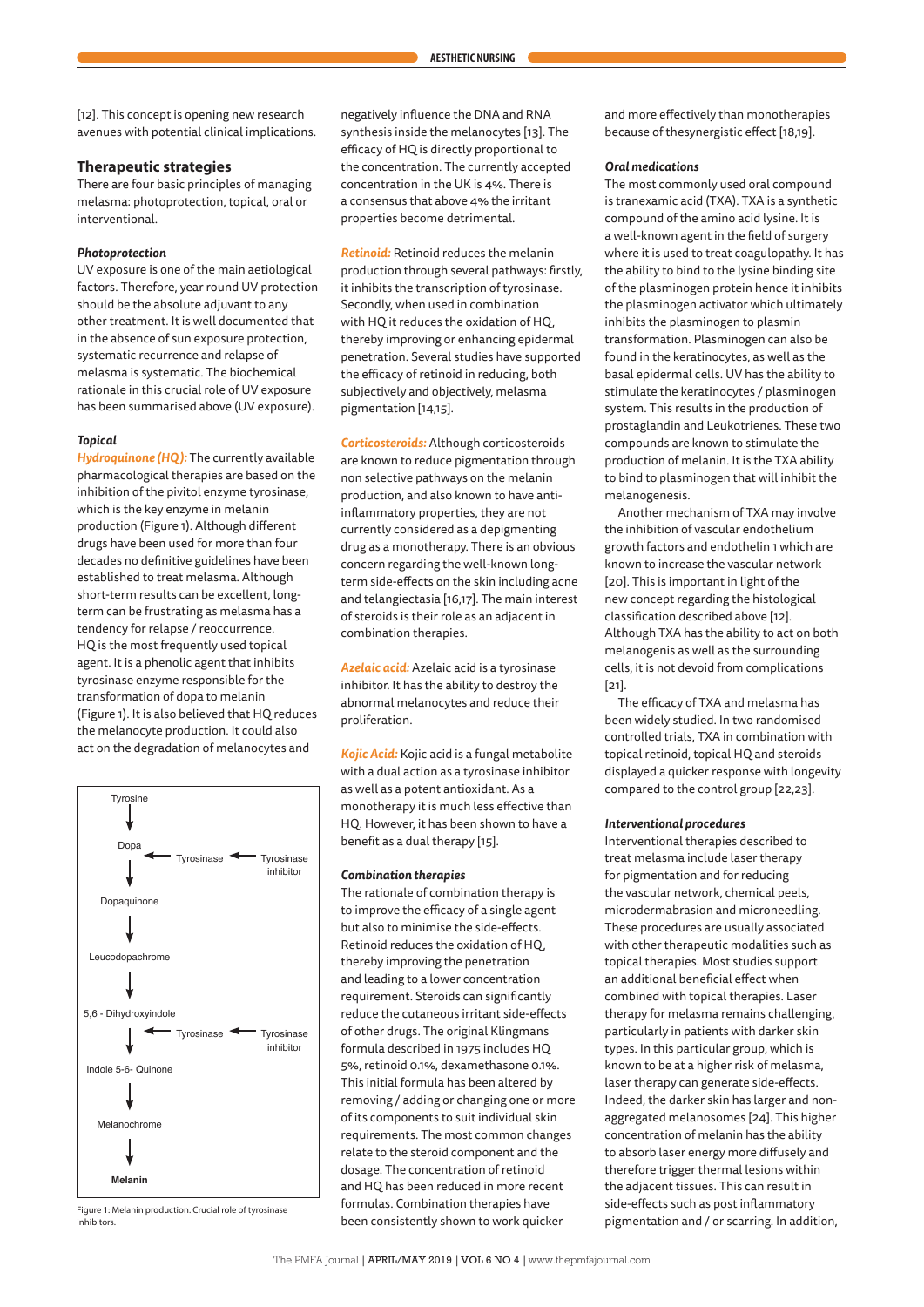[12]. This concept is opening new research avenues with potential clinical implications.

#### **Therapeutic strategies**

There are four basic principles of managing melasma: photoprotection, topical, oral or interventional.

#### *Photoprotection*

UV exposure is one of the main aetiological factors. Therefore, year round UV protection should be the absolute adjuvant to any other treatment. It is well documented that in the absence of sun exposure protection, systematic recurrence and relapse of melasma is systematic. The biochemical rationale in this crucial role of UV exposure has been summarised above (UV exposure).

#### *Topical*

*Hydroquinone (HQ ):* The currently available pharmacological therapies are based on the inhibition of the pivitol enzyme tyrosinase, which is the key enzyme in melanin production (Figure 1). Although different drugs have been used for more than four decades no definitive guidelines have been established to treat melasma. Although short-term results can be excellent, longterm can be frustrating as melasma has a tendency for relapse / reoccurrence. HQ is the most frequently used topical agent. It is a phenolic agent that inhibits tyrosinase enzyme responsible for the transformation of dopa to melanin (Figure 1). It is also believed that HQ reduces the melanocyte production. It could also act on the degradation of melanocytes and



Figure 1: Melanin production. Crucial role of tyrosinase inhibitors.

negatively influence the DNA and RNA synthesis inside the melanocytes [13]. The efficacy of HQ is directly proportional to the concentration. The currently accepted concentration in the UK is 4%. There is a consensus that above 4% the irritant properties become detrimental.

*Retinoid:* Retinoid reduces the melanin production through several pathways: firstly, it inhibits the transcription of tyrosinase. Secondly, when used in combination with HQ it reduces the oxidation of HQ, thereby improving or enhancing epidermal penetration. Several studies have supported the efficacy of retinoid in reducing, both subjectively and objectively, melasma pigmentation [14,15].

*Corticosteroids:* Although corticosteroids are known to reduce pigmentation through non selective pathways on the melanin production, and also known to have antiinflammatory properties, they are not currently considered as a depigmenting drug as a monotherapy. There is an obvious concern regarding the well-known longterm side-effects on the skin including acne and telangiectasia [16,17]. The main interest of steroids is their role as an adjacent in combination therapies.

*Azelaic acid:* Azelaic acid is a tyrosinase inhibitor. It has the ability to destroy the abnormal melanocytes and reduce their proliferation.

*Kojic Acid:* Kojic acid is a fungal metabolite with a dual action as a tyrosinase inhibitor as well as a potent antioxidant. As a monotherapy it is much less effective than HQ. However, it has been shown to have a benefit as a dual therapy [15].

#### *Combination therapies*

The rationale of combination therapy is to improve the efficacy of a single agent but also to minimise the side-effects. Retinoid reduces the oxidation of HQ, thereby improving the penetration and leading to a lower concentration requirement. Steroids can significantly reduce the cutaneous irritant side-effects of other drugs. The original Klingmans formula described in 1975 includes HQ 5%, retinoid 0.1%, dexamethasone 0.1%. This initial formula has been altered by removing / adding or changing one or more of its components to suit individual skin requirements. The most common changes relate to the steroid component and the dosage. The concentration of retinoid and HQ has been reduced in more recent formulas. Combination therapies have been consistently shown to work quicker

and more effectively than monotherapies because of thesynergistic effect [18,19].

#### *Oral medications*

The most commonly used oral compound is tranexamic acid (TXA). TXA is a synthetic compound of the amino acid lysine. It is a well-known agent in the field of surgery where it is used to treat coagulopathy. It has the ability to bind to the lysine binding site of the plasminogen protein hence it inhibits the plasminogen activator which ultimately inhibits the plasminogen to plasmin transformation. Plasminogen can also be found in the keratinocytes, as well as the basal epidermal cells. UV has the ability to stimulate the keratinocytes / plasminogen system. This results in the production of prostaglandin and Leukotrienes. These two compounds are known to stimulate the production of melanin. It is the TXA ability to bind to plasminogen that will inhibit the melanogenesis.

Another mechanism of TXA may involve the inhibition of vascular endothelium growth factors and endothelin 1 which are known to increase the vascular network [20]. This is important in light of the new concept regarding the histological classification described above [12]. Although TXA has the ability to act on both melanogenis as well as the surrounding cells, it is not devoid from complications [21].

The efficacy of TXA and melasma has been widely studied. In two randomised controlled trials, TXA in combination with topical retinoid, topical HQ and steroids displayed a quicker response with longevity compared to the control group [22,23].

#### *Interventional procedures*

Interventional therapies described to treat melasma include laser therapy for pigmentation and for reducing the vascular network, chemical peels, microdermabrasion and microneedling. These procedures are usually associated with other therapeutic modalities such as topical therapies. Most studies support an additional beneficial effect when combined with topical therapies. Laser therapy for melasma remains challenging, particularly in patients with darker skin types. In this particular group, which is known to be at a higher risk of melasma, laser therapy can generate side-effects. Indeed, the darker skin has larger and nonaggregated melanosomes [24]. This higher concentration of melanin has the ability to absorb laser energy more diffusely and therefore trigger thermal lesions within the adjacent tissues. This can result in side-effects such as post inflammatory pigmentation and / or scarring. In addition,